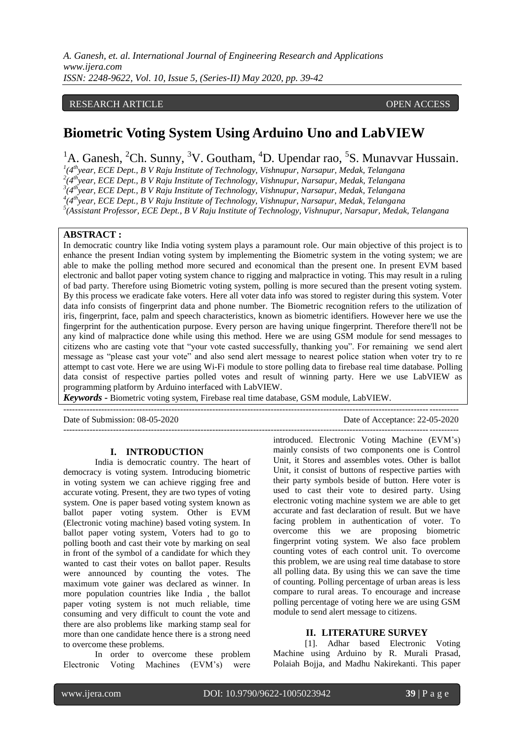### RESEARCH ARTICLE **ARTICLE** AND **CONSTRUCTER** OPEN ACCESS OPEN ACCESS OPEN ACCESS OPEN ACCESS OPEN ACCESS OF A STREET AND A STREET AND A STREET AND A STREET AND A STREET AND A STREET AND A STREET AND A STREET AND A STREET A

# **Biometric Voting System Using Arduino Uno and LabVIEW**

<sup>1</sup>A. Ganesh, <sup>2</sup>Ch. Sunny, <sup>3</sup>V. Goutham, <sup>4</sup>D. Upendar rao, <sup>5</sup>S. Munavvar Hussain.

 *(4 th year, ECE Dept., B V Raju Institute of Technology, Vishnupur, Narsapur, Medak, Telangana (4 th year, ECE Dept., B V Raju Institute of Technology, Vishnupur, Narsapur, Medak, Telangana (4 thyear, ECE Dept., B V Raju Institute of Technology, Vishnupur, Narsapur, Medak, Telangana (4 thyear, ECE Dept., B V Raju Institute of Technology, Vishnupur, Narsapur, Medak, Telangana*

*5 (Assistant Professor, ECE Dept., B V Raju Institute of Technology, Vishnupur, Narsapur, Medak, Telangana*

#### **ABSTRACT :**

In democratic country like India voting system plays a paramount role. Our main objective of this project is to enhance the present Indian voting system by implementing the Biometric system in the voting system; we are able to make the polling method more secured and economical than the present one. In present EVM based electronic and ballot paper voting system chance to rigging and malpractice in voting. This may result in a ruling of bad party. Therefore using Biometric voting system, polling is more secured than the present voting system. By this process we eradicate fake voters. Here all voter data info was stored to register during this system. Voter data info consists of fingerprint data and phone number. The Biometric recognition refers to the utilization of iris, fingerprint, face, palm and speech characteristics, known as biometric identifiers. However here we use the fingerprint for the authentication purpose. Every person are having unique fingerprint. Therefore there'll not be any kind of malpractice done while using this method. Here we are using GSM module for send messages to citizens who are casting vote that "your vote casted successfully, thanking you". For remaining we send alert message as "please cast your vote" and also send alert message to nearest police station when voter try to re attempt to cast vote. Here we are using Wi-Fi module to store polling data to firebase real time database. Polling data consist of respective parties polled votes and result of winning party. Here we use LabVIEW as programming platform by Arduino interfaced with LabVIEW.

*Keywords* **-** Biometric voting system, Firebase real time database, GSM module, LabVIEW.

---------------------------------------------------------------------------------------------------------------------------------------

Date of Submission: 08-05-2020 Date of Acceptance: 22-05-2020

---------------------------------------------------------------------------------------------------------------------------------------

#### **I. INTRODUCTION**

India is democratic country. The heart of democracy is voting system. Introducing biometric in voting system we can achieve rigging free and accurate voting. Present, they are two types of voting system. One is paper based voting system known as ballot paper voting system. Other is EVM (Electronic voting machine) based voting system. In ballot paper voting system, Voters had to go to polling booth and cast their vote by marking on seal in front of the symbol of a candidate for which they wanted to cast their votes on ballot paper. Results were announced by counting the votes. The maximum vote gainer was declared as winner. In more population countries like India , the ballot paper voting system is not much reliable, time consuming and very difficult to count the vote and there are also problems like marking stamp seal for more than one candidate hence there is a strong need to overcome these problems.

In order to overcome these problem Electronic Voting Machines (EVM's) were

introduced. Electronic Voting Machine (EVM's) mainly consists of two components one is Control Unit, it Stores and assembles votes. Other is ballot Unit, it consist of buttons of respective parties with their party symbols beside of button. Here voter is used to cast their vote to desired party. Using electronic voting machine system we are able to get accurate and fast declaration of result. But we have facing problem in authentication of voter. To overcome this we are proposing biometric fingerprint voting system. We also face problem counting votes of each control unit. To overcome this problem, we are using real time database to store all polling data. By using this we can save the time of counting. Polling percentage of urban areas is less compare to rural areas. To encourage and increase polling percentage of voting here we are using GSM module to send alert message to citizens.

### **II. LITERATURE SURVEY**

[1]. Adhar based Electronic Voting Machine using Arduino by R. Murali Prasad, Polaiah Bojja, and Madhu Nakirekanti. This paper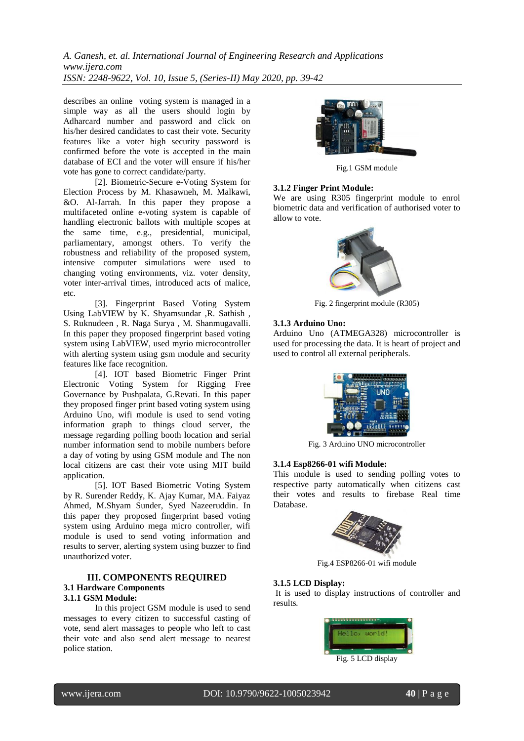*A. Ganesh, et. al. International Journal of Engineering Research and Applications www.ijera.com ISSN: 2248-9622, Vol. 10, Issue 5, (Series-II) May 2020, pp. 39-42*

describes an online voting system is managed in a simple way as all the users should login by Adharcard number and password and click on his/her desired candidates to cast their vote. Security features like a voter high security password is confirmed before the vote is accepted in the main database of ECI and the voter will ensure if his/her vote has gone to correct candidate/party.

[2]. Biometric-Secure e-Voting System for Election Process by M. Khasawneh, M. Malkawi, &O. Al-Jarrah. In this paper they propose a multifaceted online e-voting system is capable of handling electronic ballots with multiple scopes at the same time, e.g., presidential, municipal, parliamentary, amongst others. To verify the robustness and reliability of the proposed system, intensive computer simulations were used to changing voting environments, viz. voter density, voter inter-arrival times, introduced acts of malice, etc.

[3]. Fingerprint Based Voting System Using LabVIEW by K. Shyamsundar ,R. Sathish , S. Ruknudeen , R. Naga Surya , M. Shanmugavalli. In this paper they proposed fingerprint based voting system using LabVIEW, used myrio microcontroller with alerting system using gsm module and security features like face recognition.

[4]. IOT based Biometric Finger Print Electronic Voting System for Rigging Free Governance by Pushpalata, G.Revati. In this paper they proposed finger print based voting system using Arduino Uno, wifi module is used to send voting information graph to things cloud server, the message regarding polling booth location and serial number information send to mobile numbers before a day of voting by using GSM module and The non local citizens are cast their vote using MIT build application.

[5]. IOT Based Biometric Voting System by R. Surender Reddy, K. Ajay Kumar, MA. Faiyaz Ahmed, M.Shyam Sunder, Syed Nazeeruddin. In this paper they proposed fingerprint based voting system using Arduino mega micro controller, wifi module is used to send voting information and results to server, alerting system using buzzer to find unauthorized voter.

#### **III. COMPONENTS REQUIRED 3.1 Hardware Components 3.1.1 GSM Module:**

In this project GSM module is used to send messages to every citizen to successful casting of vote, send alert massages to people who left to cast their vote and also send alert message to nearest police station.



Fig.1 GSM module

### **3.1.2 Finger Print Module:**

We are using R305 fingerprint module to enrol biometric data and verification of authorised voter to allow to vote.



Fig. 2 fingerprint module (R305)

#### **3.1.3 Arduino Uno:**

Arduino Uno (ATMEGA328) microcontroller is used for processing the data. It is heart of project and used to control all external peripherals*.*



Fig. 3 Arduino UNO microcontroller

#### **3.1.4 Esp8266-01 wifi Module:**

This module is used to sending polling votes to respective party automatically when citizens cast their votes and results to firebase Real time Database.



Fig.4 ESP8266-01 wifi module

### **3.1.5 LCD Display:**

It is used to display instructions of controller and results*.*

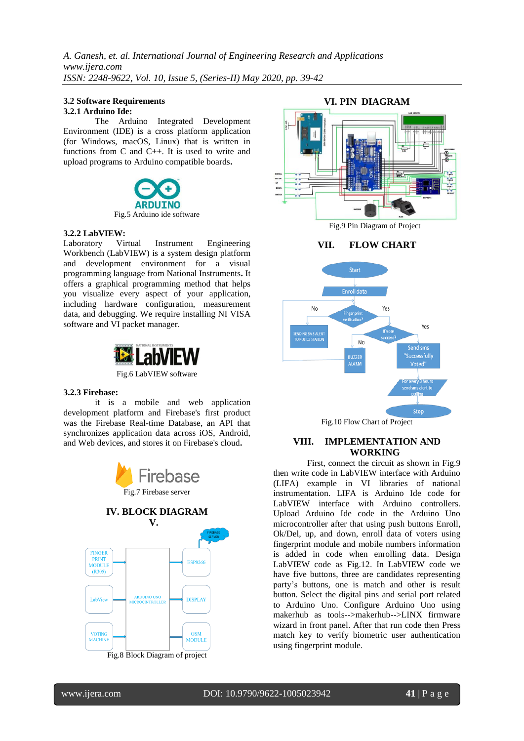#### **3.2 Software Requirements 3.2.1 Arduino Ide:**

The Arduino Integrated Development Environment (IDE) is a cross platform application (for Windows, macOS, Linux) that is written in functions from C and C++. It is used to write and upload programs to Arduino compatible boards**.**



**3.2.2 LabVIEW:** Laboratory Virtual Instrument Engineering Workbench (LabVIEW) is a system design platform and development environment for a visual programming language from National Instruments**.** It offers a graphical programming method that helps you visualize every aspect of your application, including hardware configuration, measurement data, and debugging. We require installing NI VISA software and VI packet manager.



Fig.6 LabVIEW software

#### **3.2.3 Firebase:**

it is a mobile and web application development platform and Firebase's first product was the Firebase Real-time Database, an API that synchronizes application data across iOS, Android, and Web devices, and stores it on Firebase's cloud**.**









#### Fig.10 Flow Chart of Project

#### **VIII. IMPLEMENTATION AND WORKING**

 First, connect the circuit as shown in Fig.9 then write code in LabVIEW interface with Arduino (LIFA) example in VI libraries of national instrumentation. LIFA is Arduino Ide code for LabVIEW interface with Arduino controllers. Upload Arduino Ide code in the Arduino Uno microcontroller after that using push buttons Enroll, Ok/Del, up, and down, enroll data of voters using fingerprint module and mobile numbers information is added in code when enrolling data. Design LabVIEW code as Fig.12. In LabVIEW code we have five buttons, three are candidates representing party's buttons, one is match and other is result button. Select the digital pins and serial port related to Arduino Uno. Configure Arduino Uno using makerhub as tools-->makerhub-->LINX firmware wizard in front panel. After that run code then Press match key to verify biometric user authentication using fingerprint module.